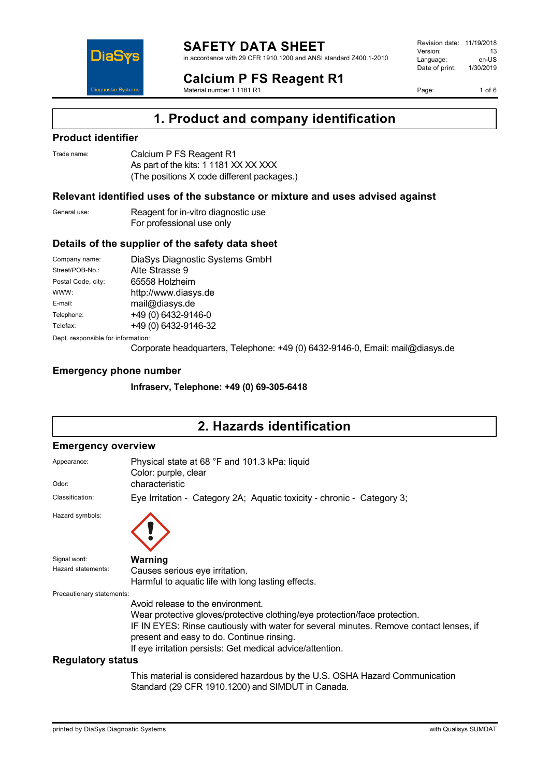

# **Calcium P FS Reagent R1**

Revision date: 11/19/2018 Version: 13<br>Language: en-LIS Language: en-US<br>Date of print: 1/30/2019  $Date$  of print:

Page: 1 of 6



Material number 1 1181 R1

# **1. Product and company identification**

### **Product identifier**

| Trade name: | Calcium P FS Reagent R1                    |
|-------------|--------------------------------------------|
|             | As part of the kits: 1 1181 XX XX XXX      |
|             | (The positions X code different packages.) |

### **Relevant identified uses of the substance or mixture and uses advised against**

| General use: | Reagent for in-vitro diagnostic use |
|--------------|-------------------------------------|
|              | For professional use only           |

## **Details of the supplier of the safety data sheet**

| Company name:                      | DiaSys Diagnostic Systems GmbH |  |
|------------------------------------|--------------------------------|--|
| Street/POB-No.:                    | Alte Strasse 9                 |  |
| Postal Code, city:                 | 65558 Holzheim                 |  |
| WWW:                               | http://www.diasys.de           |  |
| E-mail:                            | mail@diasys.de                 |  |
| Telephone:                         | +49 (0) 6432-9146-0            |  |
| Telefax:                           | +49 (0) 6432-9146-32           |  |
| Dept. responsible for information: |                                |  |

Corporate headquarters, Telephone: +49 (0) 6432-9146-0, Email: mail@diasys.de

### **Emergency phone number**

**Infraserv, Telephone: +49 (0) 69-305-6418**

# **2. Hazards identification**

### **Emergency overview**

| Appearance:               | Physical state at 68 °F and 101.3 kPa: liquid<br>Color: purple, clear                                                                                                                                                                                                                                               |
|---------------------------|---------------------------------------------------------------------------------------------------------------------------------------------------------------------------------------------------------------------------------------------------------------------------------------------------------------------|
| Odor:                     | characteristic                                                                                                                                                                                                                                                                                                      |
| Classification:           | Eye Irritation - Category 2A; Aquatic toxicity - chronic - Category 3;                                                                                                                                                                                                                                              |
| Hazard symbols:           |                                                                                                                                                                                                                                                                                                                     |
| Signal word:              | Warning                                                                                                                                                                                                                                                                                                             |
| Hazard statements:        | Causes serious eye irritation.                                                                                                                                                                                                                                                                                      |
|                           | Harmful to aquatic life with long lasting effects.                                                                                                                                                                                                                                                                  |
| Precautionary statements: |                                                                                                                                                                                                                                                                                                                     |
|                           | Avoid release to the environment.<br>Wear protective gloves/protective clothing/eye protection/face protection.<br>IF IN EYES: Rinse cautiously with water for several minutes. Remove contact lenses, if<br>present and easy to do. Continue rinsing.<br>If eye irritation persists: Get medical advice/attention. |
| <b>Regulatory status</b>  |                                                                                                                                                                                                                                                                                                                     |
|                           | This material is considered hazardous by the U.S. OSHA Hazard Communication                                                                                                                                                                                                                                         |

Standard (29 CFR 1910.1200) and SIMDUT in Canada.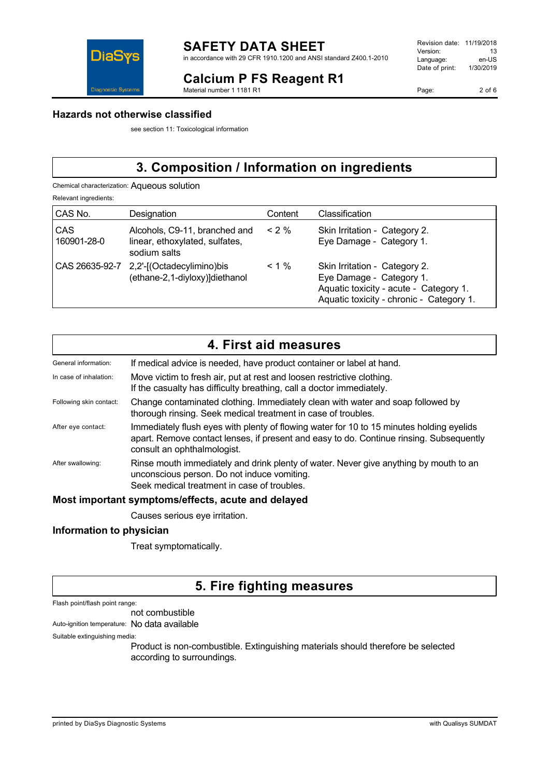

## **Calcium P FS Reagent R1**

Material number 1 1181 R1

| Revision date: | 11/19/2018 |
|----------------|------------|
| Version:       | 13         |
| Language:      | en-US      |
| Date of print: | 1/30/2019  |
|                |            |

Page: 2 of 6

### **Hazards not otherwise classified**

see section 11: Toxicological information

# **3. Composition / Information on ingredients**

Chemical characterization: Aqueous solution

Relevant ingredients:

| CAS No.                   | Designation                                                                     | Content  | Classification                                                                                                                                  |
|---------------------------|---------------------------------------------------------------------------------|----------|-------------------------------------------------------------------------------------------------------------------------------------------------|
| <b>CAS</b><br>160901-28-0 | Alcohols, C9-11, branched and<br>linear, ethoxylated, sulfates,<br>sodium salts | $< 2\%$  | Skin Irritation - Category 2.<br>Eye Damage - Category 1.                                                                                       |
|                           | CAS 26635-92-7 2,2'-[(Octadecylimino)bis<br>(ethane-2,1-diyloxy)]diethanol      | $< 1 \%$ | Skin Irritation - Category 2.<br>Eye Damage - Category 1.<br>Aquatic toxicity - acute - Category 1.<br>Aquatic toxicity - chronic - Category 1. |

|                         | 4. First aid measures                                                                                                                                                                                              |
|-------------------------|--------------------------------------------------------------------------------------------------------------------------------------------------------------------------------------------------------------------|
| General information:    | If medical advice is needed, have product container or label at hand.                                                                                                                                              |
| In case of inhalation:  | Move victim to fresh air, put at rest and loosen restrictive clothing.<br>If the casualty has difficulty breathing, call a doctor immediately.                                                                     |
| Following skin contact: | Change contaminated clothing. Immediately clean with water and soap followed by<br>thorough rinsing. Seek medical treatment in case of troubles.                                                                   |
| After eye contact:      | Immediately flush eyes with plenty of flowing water for 10 to 15 minutes holding eyelids<br>apart. Remove contact lenses, if present and easy to do. Continue rinsing. Subsequently<br>consult an ophthalmologist. |
| After swallowing:       | Rinse mouth immediately and drink plenty of water. Never give anything by mouth to an<br>unconscious person. Do not induce vomiting.<br>Seek medical treatment in case of troubles.                                |

### **Most important symptoms/effects, acute and delayed**

Causes serious eye irritation.

### **Information to physician**

Treat symptomatically.

## **5. Fire fighting measures**

Flash point/flash point range:

not combustible

Auto-ignition temperature: No data available

Suitable extinguishing media:

Product is non-combustible. Extinguishing materials should therefore be selected according to surroundings.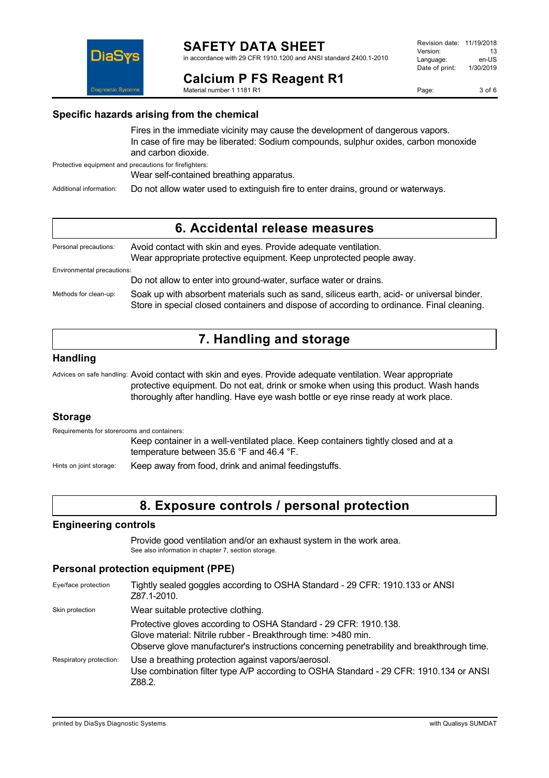

## **Calcium P FS Reagent R1**

Material number 1 1181 R1

Page: 3 of 6

## **Specific hazards arising from the chemical**

Fires in the immediate vicinity may cause the development of dangerous vapors. In case of fire may be liberated: Sodium compounds, sulphur oxides, carbon monoxide and carbon dioxide.

Protective equipment and precautions for firefighters:

DiaS

Wear self-contained breathing apparatus.

Additional information: Do not allow water used to extinguish fire to enter drains, ground or waterways.

## **6. Accidental release measures**

| Personal precautions:      | Avoid contact with skin and eyes. Provide adequate ventilation.<br>Wear appropriate protective equipment. Keep unprotected people away.                                                |
|----------------------------|----------------------------------------------------------------------------------------------------------------------------------------------------------------------------------------|
| Environmental precautions: |                                                                                                                                                                                        |
|                            | Do not allow to enter into ground-water, surface water or drains.                                                                                                                      |
| Methods for clean-up:      | Soak up with absorbent materials such as sand, siliceus earth, acid- or universal binder.<br>Store in special closed containers and dispose of according to ordinance. Final cleaning. |

# **7. Handling and storage**

### **Handling**

Advices on safe handling: Avoid contact with skin and eyes. Provide adequate ventilation. Wear appropriate protective equipment. Do not eat, drink or smoke when using this product. Wash hands thoroughly after handling. Have eye wash bottle or eye rinse ready at work place.

## **Storage**

Requirements for storerooms and containers:

Keep container in a well-ventilated place. Keep containers tightly closed and at a temperature between 35.6 °F and 46.4 °F.

Hints on joint storage: Keep away from food, drink and animal feedingstuffs.

## **8. Exposure controls / personal protection**

### **Engineering controls**

Provide good ventilation and/or an exhaust system in the work area. See also information in chapter 7, section storage.

## **Personal protection equipment (PPE)**

| Eye/face protection     | Tightly sealed goggles according to OSHA Standard - 29 CFR: 1910.133 or ANSI<br>Z87.1-2010.                                                                                                                                    |
|-------------------------|--------------------------------------------------------------------------------------------------------------------------------------------------------------------------------------------------------------------------------|
| Skin protection         | Wear suitable protective clothing.                                                                                                                                                                                             |
|                         | Protective gloves according to OSHA Standard - 29 CFR: 1910.138.<br>Glove material: Nitrile rubber - Breakthrough time: >480 min.<br>Observe glove manufacturer's instructions concerning penetrability and breakthrough time. |
| Respiratory protection: | Use a breathing protection against vapors/aerosol.<br>Use combination filter type A/P according to OSHA Standard - 29 CFR: 1910.134 or ANSI<br>Z88.2.                                                                          |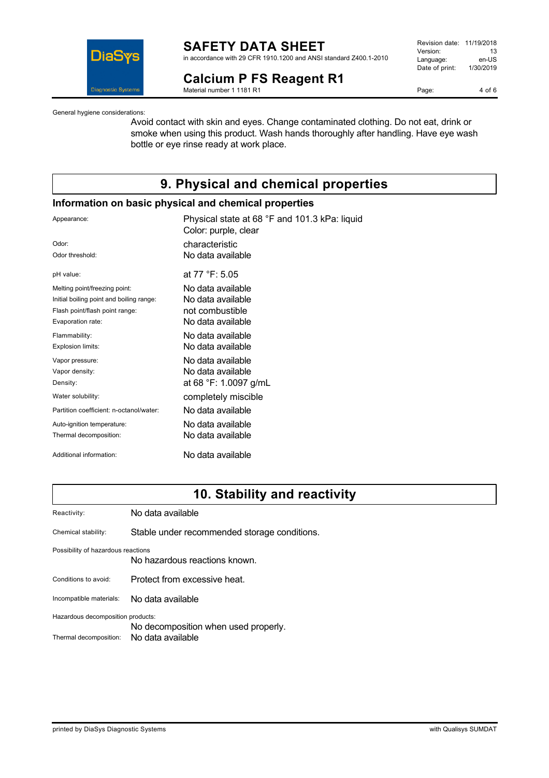

### **SAFETY DATA SHEET** in accordance with 29 CFR 1910.1200 and ANSI standard Z400.1-2010

**Calcium P FS Reagent R1**

Material number 1 1181 R1

| Revision date: | 11/19/2018 |
|----------------|------------|
| Version:       | 13         |
| Language:      | en-US      |
| Date of print: | 1/30/2019  |
|                |            |

Page: 4 of 6

General hygiene considerations:

Avoid contact with skin and eyes. Change contaminated clothing. Do not eat, drink or smoke when using this product. Wash hands thoroughly after handling. Have eye wash bottle or eye rinse ready at work place.

# **9. Physical and chemical properties**

### **Information on basic physical and chemical properties**

| Appearance:                              | Physical state at 68 °F and 101.3 kPa: liquid<br>Color: purple, clear |
|------------------------------------------|-----------------------------------------------------------------------|
| Odor:                                    | characteristic                                                        |
| Odor threshold:                          | No data available                                                     |
| pH value:                                | at 77 °F: 5.05                                                        |
| Melting point/freezing point:            | No data available                                                     |
| Initial boiling point and boiling range: | No data available                                                     |
| Flash point/flash point range:           | not combustible                                                       |
| Evaporation rate:                        | No data available                                                     |
| Flammability:                            | No data available                                                     |
| Explosion limits:                        | No data available                                                     |
| Vapor pressure:                          | No data available                                                     |
| Vapor density:                           | No data available                                                     |
| Density:                                 | at 68 °F: 1.0097 g/mL                                                 |
| Water solubility:                        | completely miscible                                                   |
| Partition coefficient: n-octanol/water:  | No data available                                                     |
| Auto-ignition temperature:               | No data available                                                     |
| Thermal decomposition:                   | No data available                                                     |
| Additional information:                  | No data available                                                     |

# **10. Stability and reactivity**

| Reactivity:                        | No data available                            |
|------------------------------------|----------------------------------------------|
| Chemical stability:                | Stable under recommended storage conditions. |
| Possibility of hazardous reactions | No hazardous reactions known.                |
| Conditions to avoid:               | Protect from excessive heat.                 |
| Incompatible materials:            | No data available                            |
| Hazardous decomposition products:  |                                              |
|                                    | No decomposition when used properly.         |
| Thermal decomposition:             | No data available                            |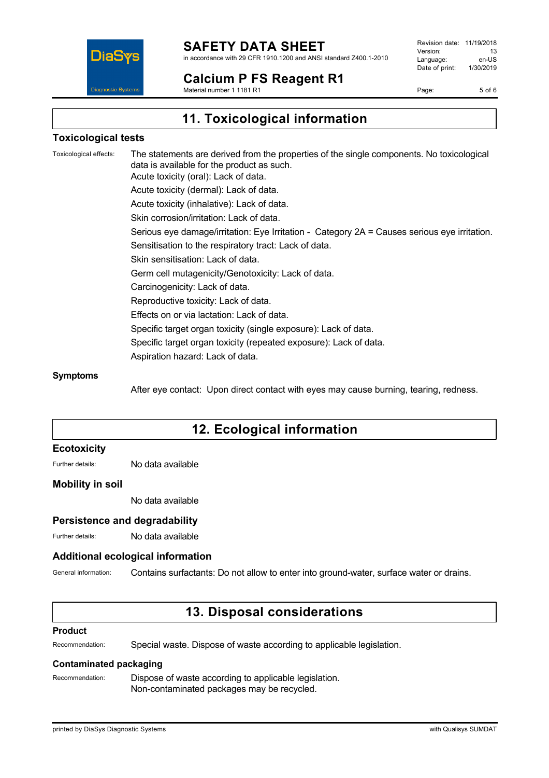

#### **Calcium P FS Reagent R1** Material number 1 1181 R1

Revision date: 11/19/2018 Version: 13<br>Language: en-LIS Language: en-US<br>Date of print: 1/30/2019  $Date$  of print:

Page: 5 of 6

**11. Toxicological information**

## **Toxicological tests**

Toxicological effects: The statements are derived from the properties of the single components. No toxicological data is available for the product as such. Acute toxicity (oral): Lack of data. Acute toxicity (dermal): Lack of data. Acute toxicity (inhalative): Lack of data. Skin corrosion/irritation: Lack of data. Serious eye damage/irritation: Eye Irritation - Category 2A = Causes serious eye irritation. Sensitisation to the respiratory tract: Lack of data. Skin sensitisation: Lack of data. Germ cell mutagenicity/Genotoxicity: Lack of data. Carcinogenicity: Lack of data. Reproductive toxicity: Lack of data. Effects on or via lactation: Lack of data. Specific target organ toxicity (single exposure): Lack of data. Specific target organ toxicity (repeated exposure): Lack of data. Aspiration hazard: Lack of data.

### **Symptoms**

After eye contact: Upon direct contact with eyes may cause burning, tearing, redness.

# **12. Ecological information**

### **Ecotoxicity**

Further details: No data available

### **Mobility in soil**

No data available

### **Persistence and degradability**

Further details: No data available

### **Additional ecological information**

General information: Contains surfactants: Do not allow to enter into ground-water, surface water or drains.

## **13. Disposal considerations**

### **Product**

Recommendation: Special waste. Dispose of waste according to applicable legislation.

### **Contaminated packaging**

Recommendation: Dispose of waste according to applicable legislation. Non-contaminated packages may be recycled.